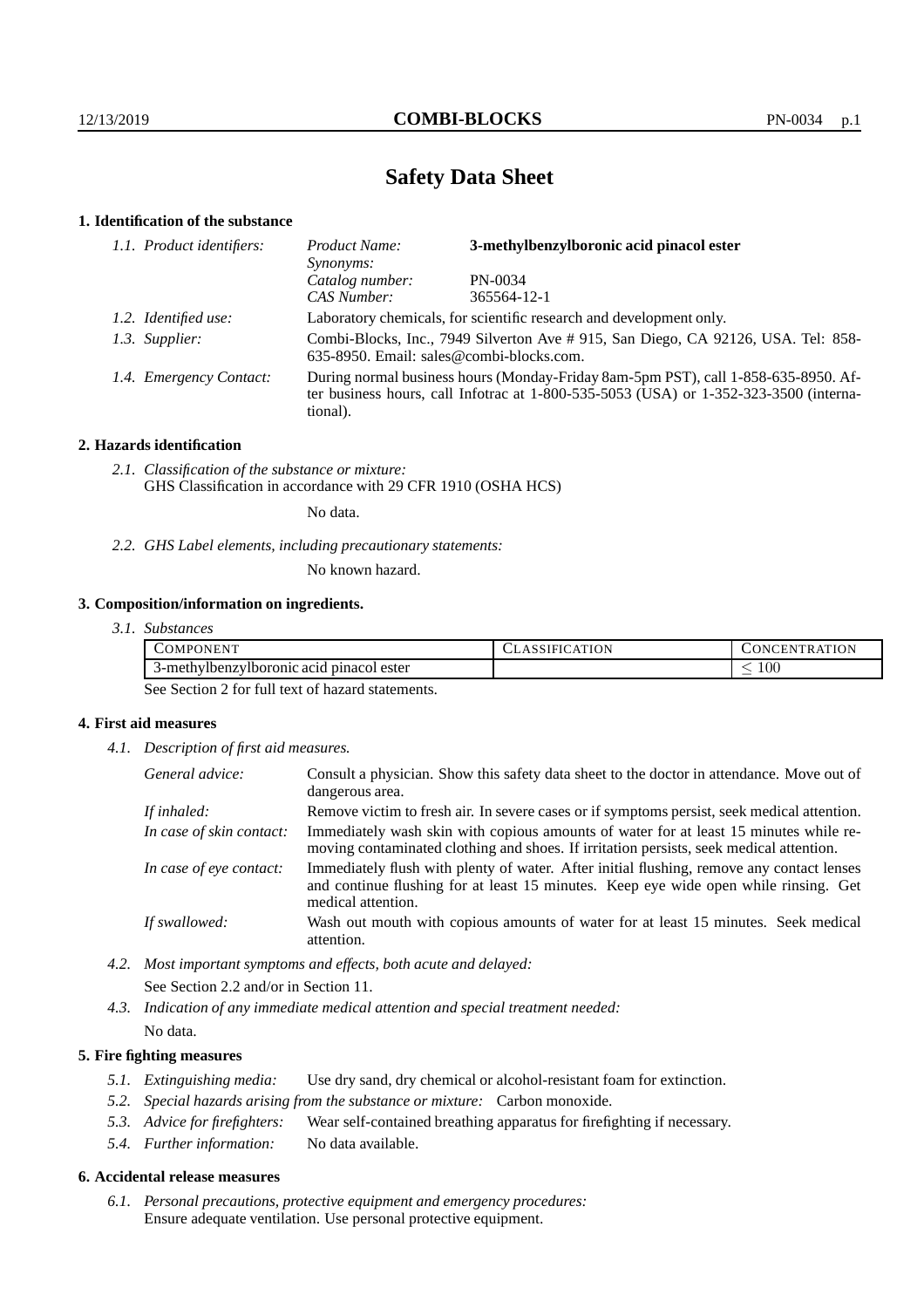# **Safety Data Sheet**

## **1. Identification of the substance**

| 1.1. Product identifiers: | Product Name:<br>Synonyms:                                                                                                                                                              | 3-methylbenzylboronic acid pinacol ester |
|---------------------------|-----------------------------------------------------------------------------------------------------------------------------------------------------------------------------------------|------------------------------------------|
|                           | Catalog number:                                                                                                                                                                         | PN-0034                                  |
|                           | CAS Number:                                                                                                                                                                             | 365564-12-1                              |
| 1.2. Identified use:      | Laboratory chemicals, for scientific research and development only.                                                                                                                     |                                          |
| 1.3. Supplier:            | Combi-Blocks, Inc., 7949 Silverton Ave # 915, San Diego, CA 92126, USA. Tel: 858-<br>635-8950. Email: sales@combi-blocks.com.                                                           |                                          |
| 1.4. Emergency Contact:   | During normal business hours (Monday-Friday 8am-5pm PST), call 1-858-635-8950. Af-<br>ter business hours, call Infotrac at 1-800-535-5053 (USA) or 1-352-323-3500 (interna-<br>tional). |                                          |

## **2. Hazards identification**

*2.1. Classification of the substance or mixture:* GHS Classification in accordance with 29 CFR 1910 (OSHA HCS)

No data.

*2.2. GHS Label elements, including precautionary statements:*

No known hazard.

## **3. Composition/information on ingredients.**

| <i>Substances</i>                        |                     |               |
|------------------------------------------|---------------------|---------------|
| COMPONENT                                | <b>ASSIFICATION</b> | CONCENTRATION |
| 3-methylbenzylboronic acid pinacol ester |                     | 100           |

See Section 2 for full text of hazard statements.

## **4. First aid measures**

*4.1. Description of first aid measures.*

| General advice:          | Consult a physician. Show this safety data sheet to the doctor in attendance. Move out of<br>dangerous area.                                                                                            |
|--------------------------|---------------------------------------------------------------------------------------------------------------------------------------------------------------------------------------------------------|
| If inhaled:              | Remove victim to fresh air. In severe cases or if symptoms persist, seek medical attention.                                                                                                             |
| In case of skin contact: | Immediately wash skin with copious amounts of water for at least 15 minutes while re-<br>moving contaminated clothing and shoes. If irritation persists, seek medical attention.                        |
| In case of eye contact:  | Immediately flush with plenty of water. After initial flushing, remove any contact lenses<br>and continue flushing for at least 15 minutes. Keep eye wide open while rinsing. Get<br>medical attention. |
| If swallowed:            | Wash out mouth with copious amounts of water for at least 15 minutes. Seek medical<br>attention.                                                                                                        |

*4.2. Most important symptoms and effects, both acute and delayed:* See Section 2.2 and/or in Section 11.

*4.3. Indication of any immediate medical attention and special treatment needed:* No data.

## **5. Fire fighting measures**

- *5.1. Extinguishing media:* Use dry sand, dry chemical or alcohol-resistant foam for extinction.
- *5.2. Special hazards arising from the substance or mixture:* Carbon monoxide.
- *5.3. Advice for firefighters:* Wear self-contained breathing apparatus for firefighting if necessary.
- *5.4. Further information:* No data available.

## **6. Accidental release measures**

*6.1. Personal precautions, protective equipment and emergency procedures:* Ensure adequate ventilation. Use personal protective equipment.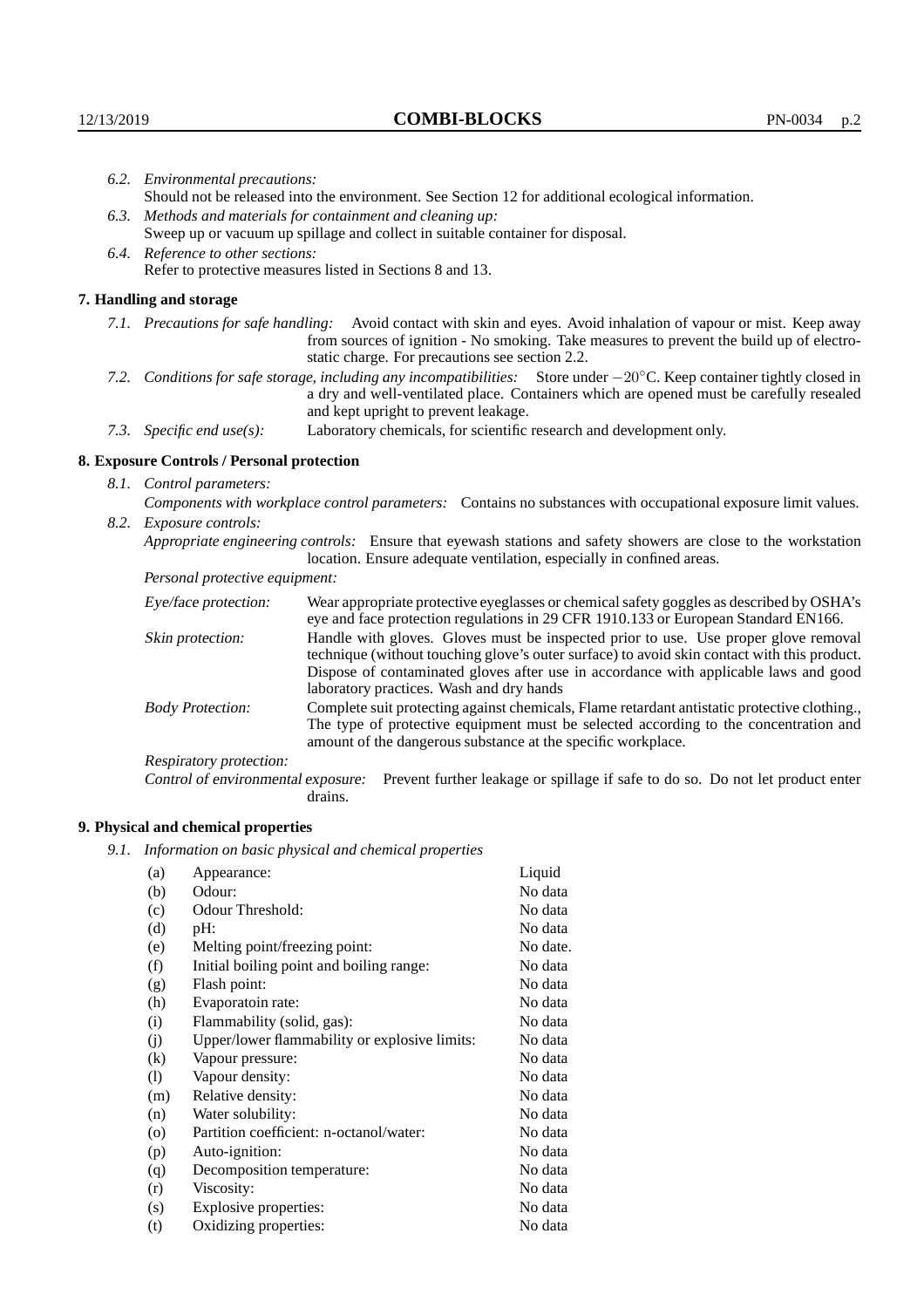|                                                                                                                                                                                                                   | 6.2. Environmental precautions:                                                                                                                                                                                                                                     |                                                                                                                                                                                                                                                                    |  |  |  |
|-------------------------------------------------------------------------------------------------------------------------------------------------------------------------------------------------------------------|---------------------------------------------------------------------------------------------------------------------------------------------------------------------------------------------------------------------------------------------------------------------|--------------------------------------------------------------------------------------------------------------------------------------------------------------------------------------------------------------------------------------------------------------------|--|--|--|
|                                                                                                                                                                                                                   | Should not be released into the environment. See Section 12 for additional ecological information.                                                                                                                                                                  |                                                                                                                                                                                                                                                                    |  |  |  |
|                                                                                                                                                                                                                   | 6.3. Methods and materials for containment and cleaning up:                                                                                                                                                                                                         |                                                                                                                                                                                                                                                                    |  |  |  |
|                                                                                                                                                                                                                   | Sweep up or vacuum up spillage and collect in suitable container for disposal.                                                                                                                                                                                      |                                                                                                                                                                                                                                                                    |  |  |  |
|                                                                                                                                                                                                                   |                                                                                                                                                                                                                                                                     |                                                                                                                                                                                                                                                                    |  |  |  |
|                                                                                                                                                                                                                   | 6.4. Reference to other sections:<br>Refer to protective measures listed in Sections 8 and 13.                                                                                                                                                                      |                                                                                                                                                                                                                                                                    |  |  |  |
|                                                                                                                                                                                                                   |                                                                                                                                                                                                                                                                     |                                                                                                                                                                                                                                                                    |  |  |  |
|                                                                                                                                                                                                                   | 7. Handling and storage                                                                                                                                                                                                                                             |                                                                                                                                                                                                                                                                    |  |  |  |
|                                                                                                                                                                                                                   |                                                                                                                                                                                                                                                                     | 7.1. Precautions for safe handling: Avoid contact with skin and eyes. Avoid inhalation of vapour or mist. Keep away<br>from sources of ignition - No smoking. Take measures to prevent the build up of electro-<br>static charge. For precautions see section 2.2. |  |  |  |
|                                                                                                                                                                                                                   | 7.2. Conditions for safe storage, including any incompatibilities: Store under $-20^{\circ}$ C. Keep container tightly closed in<br>a dry and well-ventilated place. Containers which are opened must be carefully resealed<br>and kept upright to prevent leakage. |                                                                                                                                                                                                                                                                    |  |  |  |
|                                                                                                                                                                                                                   | 7.3. Specific end use(s):                                                                                                                                                                                                                                           | Laboratory chemicals, for scientific research and development only.                                                                                                                                                                                                |  |  |  |
|                                                                                                                                                                                                                   | 8. Exposure Controls / Personal protection                                                                                                                                                                                                                          |                                                                                                                                                                                                                                                                    |  |  |  |
|                                                                                                                                                                                                                   | 8.1. Control parameters:                                                                                                                                                                                                                                            |                                                                                                                                                                                                                                                                    |  |  |  |
|                                                                                                                                                                                                                   |                                                                                                                                                                                                                                                                     | Components with workplace control parameters: Contains no substances with occupational exposure limit values.                                                                                                                                                      |  |  |  |
|                                                                                                                                                                                                                   |                                                                                                                                                                                                                                                                     |                                                                                                                                                                                                                                                                    |  |  |  |
| 8.2. Exposure controls:<br>Appropriate engineering controls: Ensure that eyewash stations and safety showers are close to the workstation<br>location. Ensure adequate ventilation, especially in confined areas. |                                                                                                                                                                                                                                                                     |                                                                                                                                                                                                                                                                    |  |  |  |
| Personal protective equipment:                                                                                                                                                                                    |                                                                                                                                                                                                                                                                     |                                                                                                                                                                                                                                                                    |  |  |  |
|                                                                                                                                                                                                                   | Eye/face protection:                                                                                                                                                                                                                                                | Wear appropriate protective eyeglasses or chemical safety goggles as described by OSHA's<br>eye and face protection regulations in 29 CFR 1910.133 or European Standard EN166.                                                                                     |  |  |  |
|                                                                                                                                                                                                                   | Skin protection:                                                                                                                                                                                                                                                    | Handle with gloves. Gloves must be inspected prior to use. Use proper glove removal                                                                                                                                                                                |  |  |  |

technique (without touching glove's outer surface) to avoid skin contact with this product. Dispose of contaminated gloves after use in accordance with applicable laws and good laboratory practices. Wash and dry hands Body Protection: Complete suit protecting against chemicals, Flame retardant antistatic protective clothing.,

The type of protective equipment must be selected according to the concentration and amount of the dangerous substance at the specific workplace.

Respiratory protection:

Control of environmental exposure: Prevent further leakage or spillage if safe to do so. Do not let product enter drains.

# **9. Physical and chemical properties**

*9.1. Information on basic physical and chemical properties*

| (a)       | Appearance:                                   | Liquid   |
|-----------|-----------------------------------------------|----------|
| (b)       | Odour:                                        | No data  |
| (c)       | Odour Threshold:                              | No data  |
| (d)       | pH:                                           | No data  |
| (e)       | Melting point/freezing point:                 | No date. |
| (f)       | Initial boiling point and boiling range:      | No data  |
| (g)       | Flash point:                                  | No data  |
| (h)       | Evaporatoin rate:                             | No data  |
| (i)       | Flammability (solid, gas):                    | No data  |
| (i)       | Upper/lower flammability or explosive limits: | No data  |
| $\rm(k)$  | Vapour pressure:                              | No data  |
| (1)       | Vapour density:                               | No data  |
| (m)       | Relative density:                             | No data  |
| (n)       | Water solubility:                             | No data  |
| $\rm (o)$ | Partition coefficient: n-octanol/water:       | No data  |
| (p)       | Auto-ignition:                                | No data  |
| (q)       | Decomposition temperature:                    | No data  |
| (r)       | Viscosity:                                    | No data  |
| (s)       | Explosive properties:                         | No data  |
| (t)       | Oxidizing properties:                         | No data  |